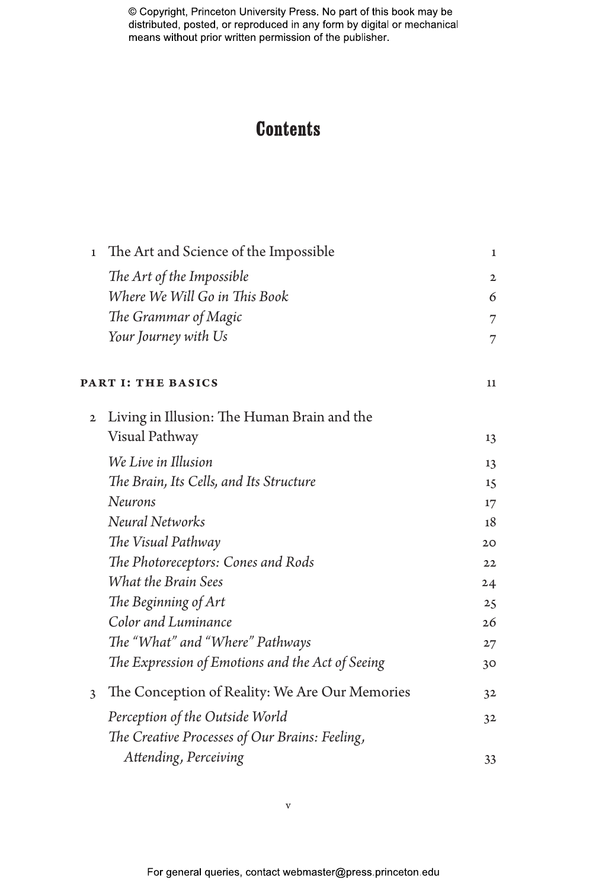# **Contents**

| $\mathbf 1$  | The Art and Science of the Impossible            | $\mathbf{1}$ |
|--------------|--------------------------------------------------|--------------|
|              | The Art of the Impossible                        | 2            |
|              | Where We Will Go in This Book                    | 6            |
|              | The Grammar of Magic                             | 7            |
|              | Your Journey with Us                             | 7            |
|              | <b>PART I: THE BASICS</b>                        | 11           |
| $\mathbf{2}$ | Living in Illusion: The Human Brain and the      |              |
|              | Visual Pathway                                   | 13           |
|              | We Live in Illusion                              | 13           |
|              | The Brain, Its Cells, and Its Structure          | 15           |
|              | <b>Neurons</b>                                   | 17           |
|              | <b>Neural Networks</b>                           | 18           |
|              | The Visual Pathway                               | 20           |
|              | The Photoreceptors: Cones and Rods               | 22           |
|              | <b>What the Brain Sees</b>                       | 24           |
|              | The Beginning of Art                             | 25           |
|              | Color and Luminance                              | 26           |
|              | The "What" and "Where" Pathways                  | 27           |
|              | The Expression of Emotions and the Act of Seeing | 30           |
| 3            | The Conception of Reality: We Are Our Memories   | 32           |
|              | Perception of the Outside World                  | 32           |
|              | The Creative Processes of Our Brains: Feeling,   |              |
|              | Attending, Perceiving                            | 33           |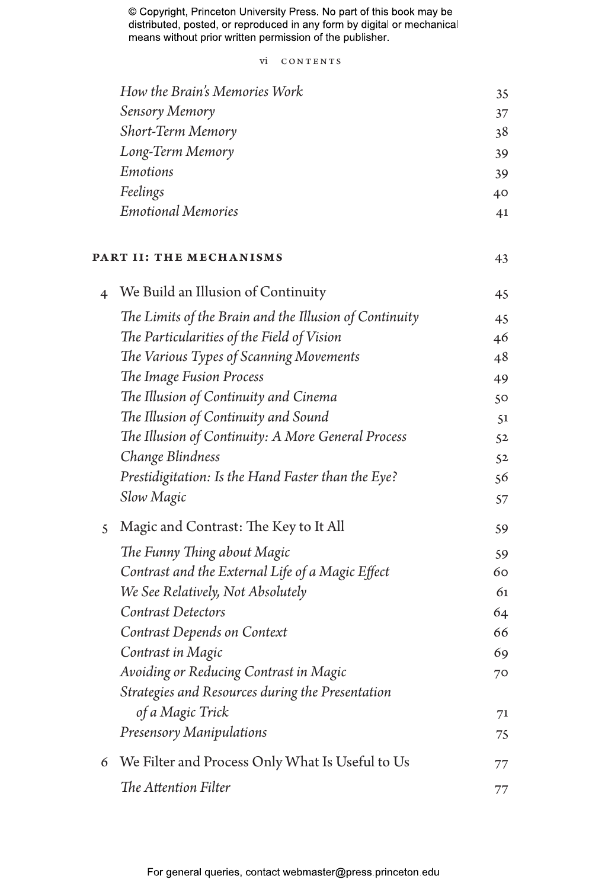vi CONTENTS

|                | How the Brain's Memories Work                                        | 35 |
|----------------|----------------------------------------------------------------------|----|
|                | Sensory Memory                                                       | 37 |
|                | Short-Term Memory                                                    | 38 |
|                | Long-Term Memory                                                     | 39 |
|                | Emotions                                                             | 39 |
|                | Feelings                                                             | 40 |
|                | <b>Emotional Memories</b>                                            | 41 |
|                | PART II: THE MECHANISMS                                              | 43 |
| $\overline{4}$ | We Build an Illusion of Continuity                                   | 45 |
|                | The Limits of the Brain and the Illusion of Continuity               | 45 |
|                | The Particularities of the Field of Vision                           | 46 |
|                | The Various Types of Scanning Movements                              | 48 |
|                | The Image Fusion Process                                             | 49 |
|                | The Illusion of Continuity and Cinema                                | 50 |
|                | The Illusion of Continuity and Sound                                 | 51 |
|                | The Illusion of Continuity: A More General Process                   | 52 |
|                | Change Blindness                                                     | 52 |
|                | Prestidigitation: Is the Hand Faster than the Eye?                   | 56 |
|                | Slow Magic                                                           | 57 |
| 5              | Magic and Contrast: The Key to It All                                | 59 |
|                | The Funny Thing about Magic                                          | 59 |
|                | Contrast and the External Life of a Magic Effect                     | 60 |
|                | We See Relatively, Not Absolutely                                    | 61 |
|                | <b>Contrast Detectors</b>                                            | 64 |
|                | Contrast Depends on Context                                          | 66 |
|                | Contrast in Magic                                                    | 69 |
|                | Avoiding or Reducing Contrast in Magic                               | 70 |
|                | Strategies and Resources during the Presentation<br>of a Magic Trick |    |
|                | Presensory Manipulations                                             | 71 |
|                |                                                                      | 75 |
| 6              | We Filter and Process Only What Is Useful to Us                      | 77 |
|                | The Attention Filter                                                 | 77 |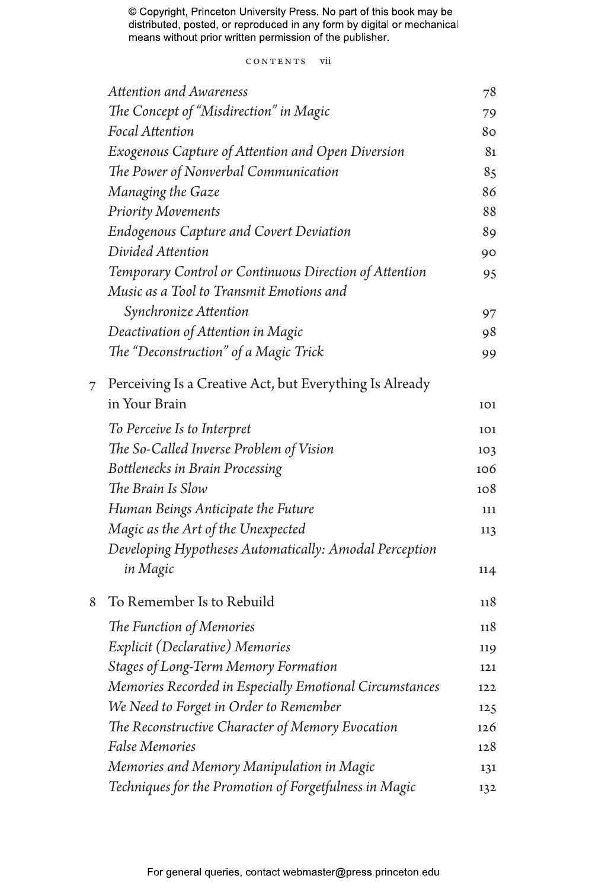CONTENTS vii

|   | <b>Attention and Awareness</b>                          | 78  |
|---|---------------------------------------------------------|-----|
|   | The Concept of "Misdirection" in Magic                  | 79  |
|   | Focal Attention                                         | 80  |
|   | Exogenous Capture of Attention and Open Diversion       | 81  |
|   | The Power of Nonverbal Communication                    | 85  |
|   | Managing the Gaze                                       | 86  |
|   | <b>Priority Movements</b>                               | 88  |
|   | <b>Endogenous Capture and Covert Deviation</b>          | 89  |
|   | Divided Attention                                       | 90  |
|   | Temporary Control or Continuous Direction of Attention  | 95  |
|   | Music as a Tool to Transmit Emotions and                |     |
|   | Synchronize Attention                                   | 97  |
|   | Deactivation of Attention in Magic                      | 98  |
|   | The "Deconstruction" of a Magic Trick                   | 99  |
| 7 | Perceiving Is a Creative Act, but Everything Is Already |     |
|   | in Your Brain                                           | 101 |
|   | To Perceive Is to Interpret                             | 101 |
|   | The So-Called Inverse Problem of Vision                 | 103 |
|   | <b>Bottlenecks in Brain Processing</b>                  | 106 |
|   | The Brain Is Slow                                       | 108 |
|   | Human Beings Anticipate the Future                      | 111 |
|   | Magic as the Art of the Unexpected                      | 113 |
|   | Developing Hypotheses Automatically: Amodal Perception  |     |
|   | in Magic                                                | 114 |
| 8 | To Remember Is to Rebuild                               | 118 |
|   | The Function of Memories                                | 118 |
|   | Explicit (Declarative) Memories                         | 119 |
|   | <b>Stages of Long-Term Memory Formation</b>             | 121 |
|   | Memories Recorded in Especially Emotional Circumstances | 122 |
|   | We Need to Forget in Order to Remember                  | 125 |
|   | The Reconstructive Character of Memory Evocation        | 126 |
|   | <b>False Memories</b>                                   | 128 |
|   | Memories and Memory Manipulation in Magic               | 131 |
|   | Techniques for the Promotion of Forgetfulness in Magic  | 132 |
|   |                                                         |     |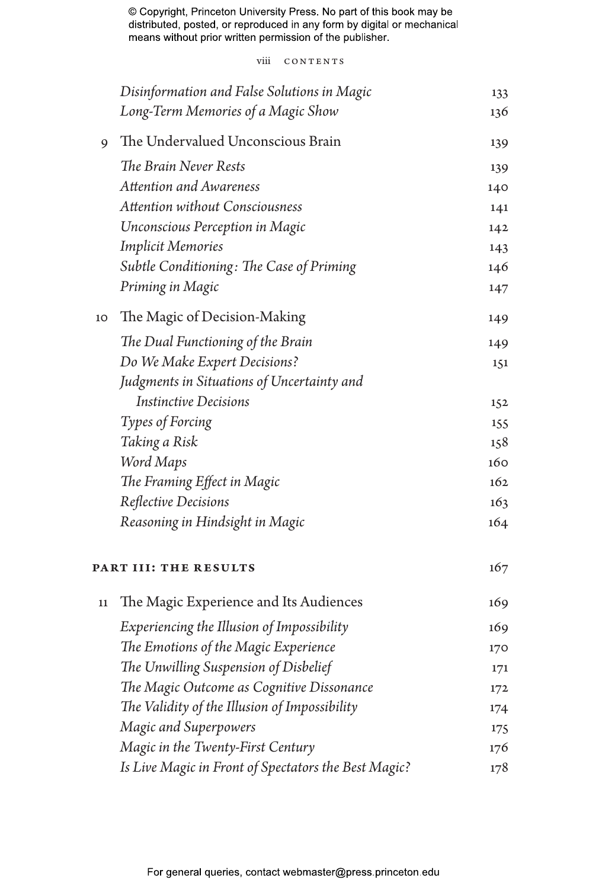viii CONTENTS

|    | Disinformation and False Solutions in Magic          | 133 |
|----|------------------------------------------------------|-----|
|    | Long-Term Memories of a Magic Show                   | 136 |
| 9  | The Undervalued Unconscious Brain                    | 139 |
|    | The Brain Never Rests                                | 139 |
|    | <b>Attention and Awareness</b>                       | 140 |
|    | <b>Attention without Consciousness</b>               | 141 |
|    | Unconscious Perception in Magic                      | 142 |
|    | <b>Implicit Memories</b>                             | 143 |
|    | Subtle Conditioning: The Case of Priming             | 146 |
|    | Priming in Magic                                     | 147 |
| 10 | The Magic of Decision-Making                         | 149 |
|    | The Dual Functioning of the Brain                    | 149 |
|    | Do We Make Expert Decisions?                         | 151 |
|    | Judgments in Situations of Uncertainty and           |     |
|    | <b>Instinctive Decisions</b>                         | 152 |
|    | Types of Forcing                                     | 155 |
|    | Taking a Risk                                        | 158 |
|    | Word Maps                                            | 160 |
|    | The Framing Effect in Magic                          | 162 |
|    | Reflective Decisions                                 | 163 |
|    | Reasoning in Hindsight in Magic                      | 164 |
|    | PART III: THE RESULTS                                | 167 |
| 11 | The Magic Experience and Its Audiences               | 169 |
|    | Experiencing the Illusion of Impossibility           | 169 |
|    | The Emotions of the Magic Experience                 | 170 |
|    | The Unwilling Suspension of Disbelief                | 171 |
|    | The Magic Outcome as Cognitive Dissonance            | 172 |
|    | The Validity of the Illusion of Impossibility        | 174 |
|    | Magic and Superpowers                                | 175 |
|    | Magic in the Twenty-First Century                    | 176 |
|    | Is Live Magic in Front of Spectators the Best Magic? | 178 |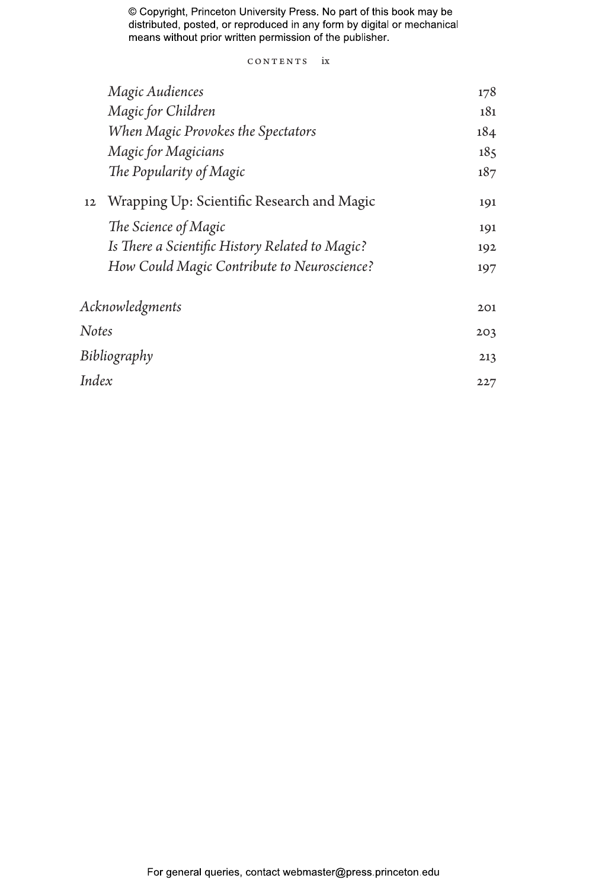### CONTENTS ix

|                       | Magic Audiences                                 | 178        |
|-----------------------|-------------------------------------------------|------------|
|                       | Magic for Children                              | 181        |
|                       | When Magic Provokes the Spectators              | 184        |
|                       | Magic for Magicians                             | 185        |
|                       | The Popularity of Magic                         | 187        |
| 12                    | Wrapping Up: Scientific Research and Magic      | 191        |
|                       | The Science of Magic                            | 191        |
|                       | Is There a Scientific History Related to Magic? | 192        |
|                       | How Could Magic Contribute to Neuroscience?     | 197        |
|                       | Acknowledgments                                 | 201        |
| Notes<br>Bibliography |                                                 | 203<br>213 |
|                       |                                                 |            |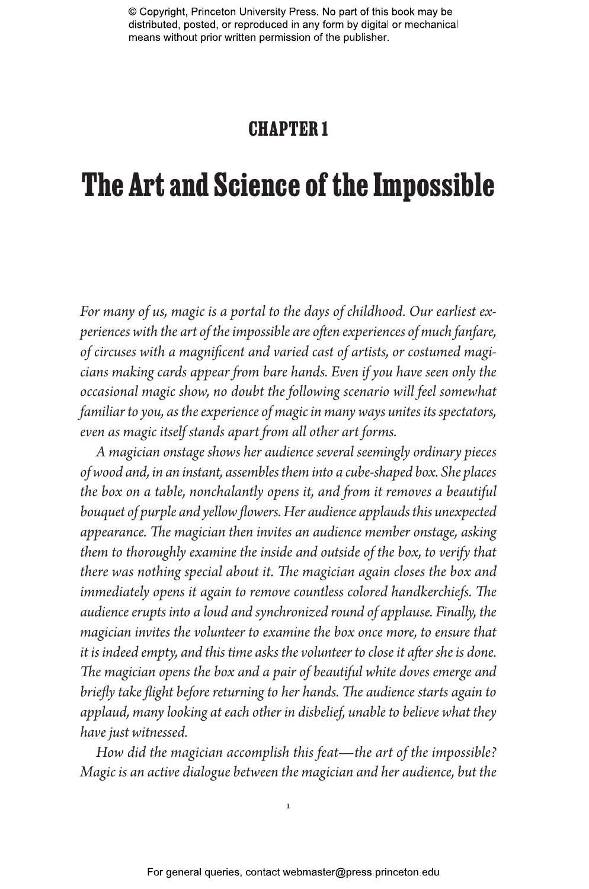# **CHAPTER 1**

# **The Art and Science of the Impossible**

*For many of us, magic is a portal to the days of childhood. Our earliest experiences with the art of the impossible are often experiences of much fanfare, of circuses with a magnificent and varied cast of artists, or costumed magicians making cards appear from bare hands. Even if you have seen only the occasional magic show, no doubt the following scenario will feel somewhat familiar to you, as the experience of magic in many ways unites its spectators, even as magic itself stands apart from all other art forms.*

*A magician onstage shows her audience several seemingly ordinary pieces of wood and, in an instant, assembles them into a cube-shaped box. She places the box on a table, nonchalantly opens it, and from it removes a beautiful bouquet of purple and yellow flowers. Her audience applauds this unexpected appearance. The magician then invites an audience member onstage, asking them to thoroughly examine the inside and outside of the box, to verify that there was nothing special about it. The magician again closes the box and immediately opens it again to remove countless colored handkerchiefs. The audience erupts into a loud and synchronized round of applause. Finally, the magician invites the volunteer to examine the box once more, to ensure that it is indeed empty, and this time asks the volunteer to close it after she is done. The magician opens the box and a pair of beautiful white doves emerge and briefly take flight before returning to her hands. The audience starts again to applaud, many looking at each other in disbelief, unable to believe what they have just witnessed.*

*How did the magician accomplish this feat—the art of the impossible? Magic is an active dialogue between the magician and her audience, but the* 

1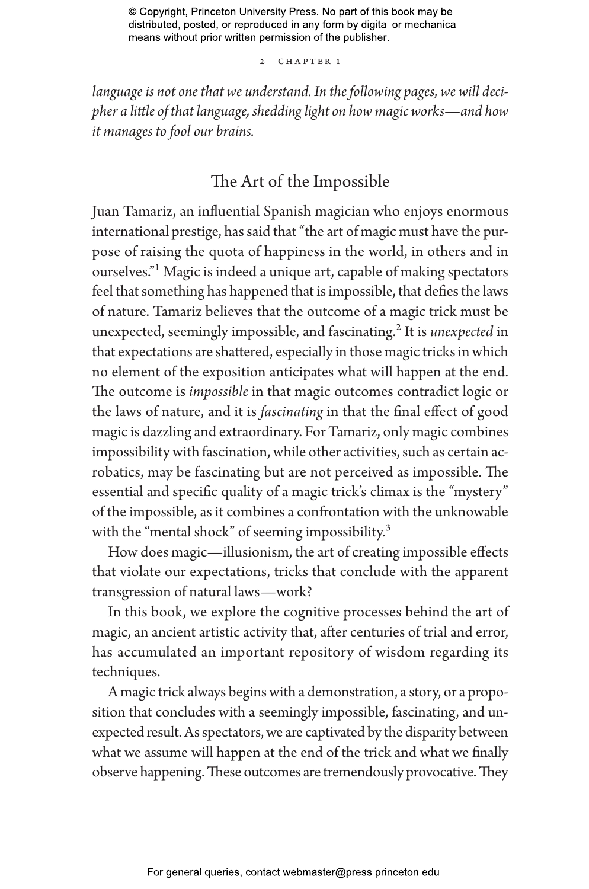2 CHAPTER 1

*language is not one that we understand. In the following pages, we will decipher a little of that language, shedding light on how magic works—and how it manages to fool our brains.*

## The Art of the Impossible

Juan Tamariz, an influential Spanish magician who enjoys enormous international prestige, has said that "the art of magic must have the purpose of raising the quota of happiness in the world, in others and in ourselves."1 Magic is indeed a unique art, capable of making spectators feel that something has happened that is impossible, that defies the laws of nature. Tamariz believes that the outcome of a magic trick must be unexpected, seemingly impossible, and fascinating.2 It is *unexpected* in that expectations are shattered, especially in those magic tricks in which no element of the exposition anticipates what will happen at the end. The outcome is *impossible* in that magic outcomes contradict logic or the laws of nature, and it is *fascinating* in that the final effect of good magic is dazzling and extraordinary. For Tamariz, only magic combines impossibility with fascination, while other activities, such as certain acrobatics, may be fascinating but are not perceived as impossible. The essential and specific quality of a magic trick's climax is the "mystery" of the impossible, as it combines a confrontation with the unknowable with the "mental shock" of seeming impossibility.<sup>3</sup>

How does magic—illusionism, the art of creating impossible effects that violate our expectations, tricks that conclude with the apparent transgression of natural laws—work?

In this book, we explore the cognitive processes behind the art of magic, an ancient artistic activity that, after centuries of trial and error, has accumulated an important repository of wisdom regarding its techniques.

A magic trick always begins with a demonstration, a story, or a proposition that concludes with a seemingly impossible, fascinating, and unexpected result. As spectators, we are captivated by the disparity between what we assume will happen at the end of the trick and what we finally observe happening. These outcomes are tremendously provocative. They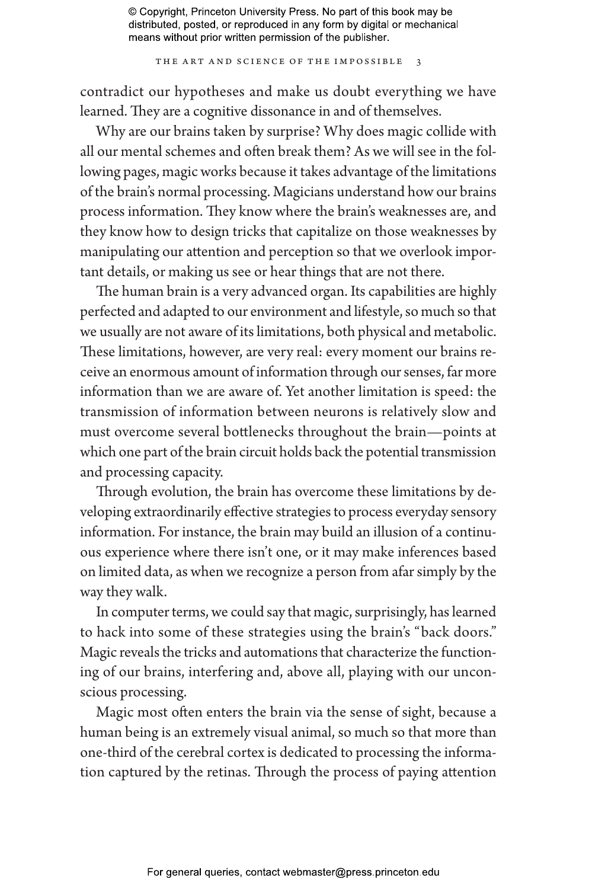The Art and Science of the Impossible 3

contradict our hypotheses and make us doubt everything we have learned. They are a cognitive dissonance in and of themselves.

Why are our brains taken by surprise? Why does magic collide with all our mental schemes and often break them? As we will see in the following pages, magic works because it takes advantage of the limitations of the brain's normal processing. Magicians understand how our brains process information. They know where the brain's weaknesses are, and they know how to design tricks that capitalize on those weaknesses by manipulating our attention and perception so that we overlook important details, or making us see or hear things that are not there.

The human brain is a very advanced organ. Its capabilities are highly perfected and adapted to our environment and lifestyle, so much so that we usually are not aware of its limitations, both physical and metabolic. These limitations, however, are very real: every moment our brains receive an enormous amount of information through our senses, far more information than we are aware of. Yet another limitation is speed: the transmission of information between neurons is relatively slow and must overcome several bottlenecks throughout the brain—points at which one part of the brain circuit holds back the potential transmission and processing capacity.

Through evolution, the brain has overcome these limitations by developing extraordinarily effective strategies to process everyday sensory information. For instance, the brain may build an illusion of a continuous experience where there isn't one, or it may make inferences based on limited data, as when we recognize a person from afar simply by the way they walk.

In computer terms, we could say that magic, surprisingly, has learned to hack into some of these strategies using the brain's "back doors." Magic reveals the tricks and automations that characterize the functioning of our brains, interfering and, above all, playing with our unconscious processing.

Magic most often enters the brain via the sense of sight, because a human being is an extremely visual animal, so much so that more than one-third of the cerebral cortex is dedicated to processing the information captured by the retinas. Through the process of paying attention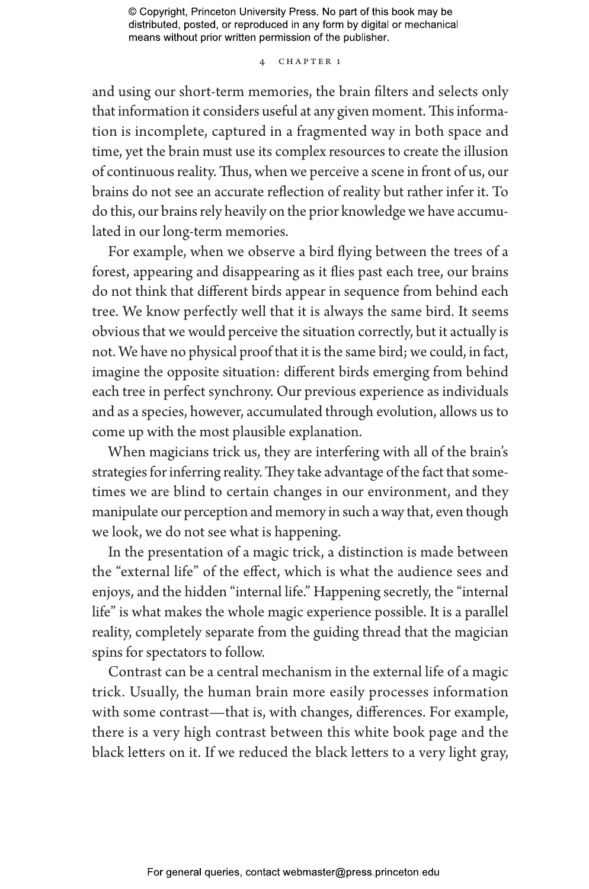## 4 Chapter 1

and using our short-term memories, the brain filters and selects only that information it considers useful at any given moment. This information is incomplete, captured in a fragmented way in both space and time, yet the brain must use its complex resources to create the illusion of continuous reality. Thus, when we perceive a scene in front of us, our brains do not see an accurate reflection of reality but rather infer it. To do this, our brains rely heavily on the prior knowledge we have accumulated in our long-term memories.

For example, when we observe a bird flying between the trees of a forest, appearing and disappearing as it flies past each tree, our brains do not think that different birds appear in sequence from behind each tree. We know perfectly well that it is always the same bird. It seems obvious that we would perceive the situation correctly, but it actually is not. We have no physical proof that it is the same bird; we could, in fact, imagine the opposite situation: different birds emerging from behind each tree in perfect synchrony. Our previous experience as individuals and as a species, however, accumulated through evolution, allows us to come up with the most plausible explanation.

When magicians trick us, they are interfering with all of the brain's strategies for inferring reality. They take advantage of the fact that sometimes we are blind to certain changes in our environment, and they manipulate our perception and memory in such a way that, even though we look, we do not see what is happening.

In the presentation of a magic trick, a distinction is made between the "external life" of the effect, which is what the audience sees and enjoys, and the hidden "internal life." Happening secretly, the "internal life" is what makes the whole magic experience possible. It is a parallel reality, completely separate from the guiding thread that the magician spins for spectators to follow.

Contrast can be a central mechanism in the external life of a magic trick. Usually, the human brain more easily processes information with some contrast—that is, with changes, differences. For example, there is a very high contrast between this white book page and the black letters on it. If we reduced the black letters to a very light gray,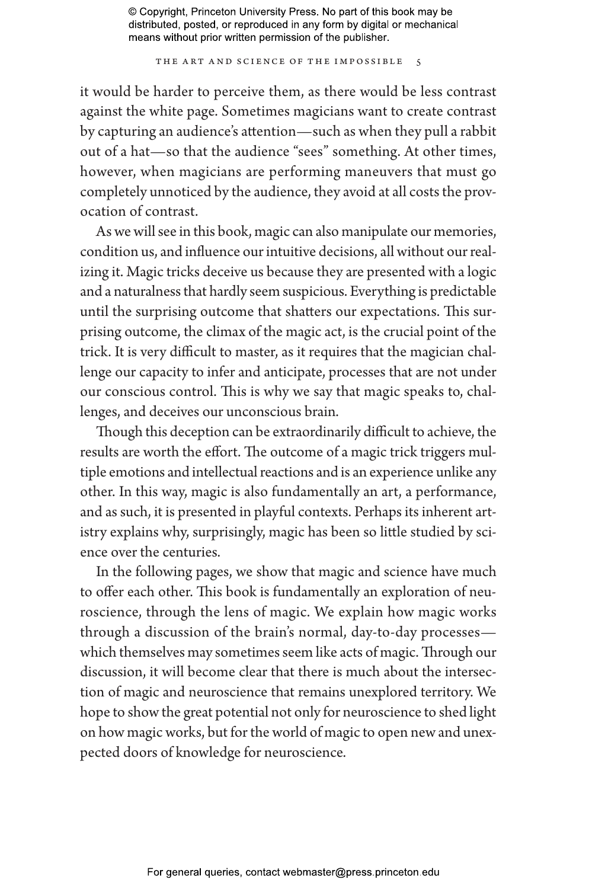THE ART AND SCIENCE OF THE IMPOSSIBLE 5

it would be harder to perceive them, as there would be less contrast against the white page. Sometimes magicians want to create contrast by capturing an audience's attention—such as when they pull a rabbit out of a hat—so that the audience "sees" something. At other times, however, when magicians are performing maneuvers that must go completely unnoticed by the audience, they avoid at all costs the provocation of contrast.

As we will see in this book, magic can also manipulate our memories, condition us, and influence our intuitive decisions, all without our realizing it. Magic tricks deceive us because they are presented with a logic and a naturalness that hardly seem suspicious. Everything is predictable until the surprising outcome that shatters our expectations. This surprising outcome, the climax of the magic act, is the crucial point of the trick. It is very difficult to master, as it requires that the magician challenge our capacity to infer and anticipate, processes that are not under our conscious control. This is why we say that magic speaks to, challenges, and deceives our unconscious brain.

Though this deception can be extraordinarily difficult to achieve, the results are worth the effort. The outcome of a magic trick triggers multiple emotions and intellectual reactions and is an experience unlike any other. In this way, magic is also fundamentally an art, a performance, and as such, it is presented in playful contexts. Perhaps its inherent artistry explains why, surprisingly, magic has been so little studied by science over the centuries.

In the following pages, we show that magic and science have much to offer each other. This book is fundamentally an exploration of neuroscience, through the lens of magic. We explain how magic works through a discussion of the brain's normal, day-to-day processes which themselves may sometimes seem like acts of magic. Through our discussion, it will become clear that there is much about the intersection of magic and neuroscience that remains unexplored territory. We hope to show the great potential not only for neuroscience to shed light on how magic works, but for the world of magic to open new and unexpected doors of knowledge for neuroscience.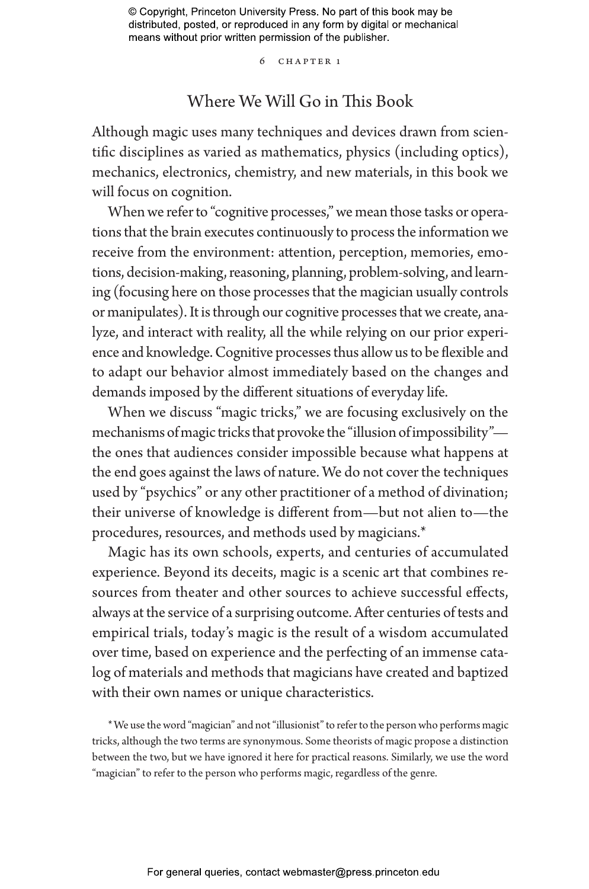6 Chapter 1

## Where We Will Go in This Book

Although magic uses many techniques and devices drawn from scientific disciplines as varied as mathematics, physics (including optics), mechanics, electronics, chemistry, and new materials, in this book we will focus on cognition.

When we refer to "cognitive processes," we mean those tasks or operations that the brain executes continuously to process the information we receive from the environment: attention, perception, memories, emotions, decision-making, reasoning, planning, problem-solving, and learning (focusing here on those processes that the magician usually controls or manipulates). It is through our cognitive processes that we create, analyze, and interact with reality, all the while relying on our prior experience and knowledge. Cognitive processes thus allow us to be flexible and to adapt our behavior almost immediately based on the changes and demands imposed by the different situations of everyday life.

When we discuss "magic tricks," we are focusing exclusively on the mechanisms of magic tricks that provoke the "illusion of impossibility" the ones that audiences consider impossible because what happens at the end goes against the laws of nature. We do not cover the techniques used by "psychics" or any other practitioner of a method of divination; their universe of knowledge is different from—but not alien to—the procedures, resources, and methods used by magicians.\*

Magic has its own schools, experts, and centuries of accumulated experience. Beyond its deceits, magic is a scenic art that combines resources from theater and other sources to achieve successful effects, always at the service of a surprising outcome. After centuries of tests and empirical trials, today's magic is the result of a wisdom accumulated over time, based on experience and the perfecting of an immense catalog of materials and methods that magicians have created and baptized with their own names or unique characteristics.

\*We use the word "magician" and not "illusionist" to refer to the person who performs magic tricks, although the two terms are synonymous. Some theorists of magic propose a distinction between the two, but we have ignored it here for practical reasons. Similarly, we use the word "magician" to refer to the person who performs magic, regardless of the genre.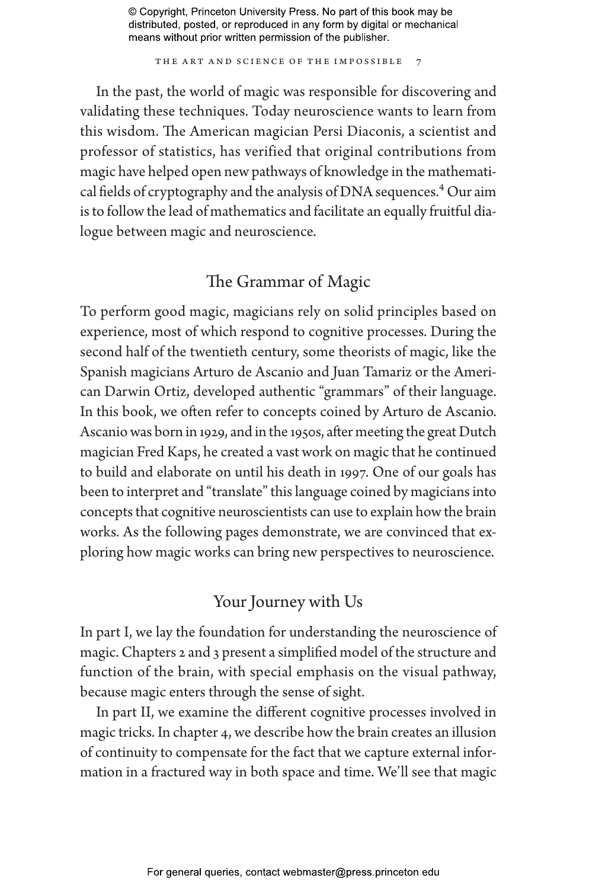THE ART AND SCIENCE OF THE IMPOSSIBLE 7

In the past, the world of magic was responsible for discovering and validating these techniques. Today neuroscience wants to learn from this wisdom. The American magician Persi Diaconis, a scientist and professor of statistics, has verified that original contributions from magic have helped open new pathways of knowledge in the mathematical fields of cryptography and the analysis of DNA sequences.<sup>4</sup> Our aim is to follow the lead of mathematics and facilitate an equally fruitful dialogue between magic and neuroscience.

## The Grammar of Magic

To perform good magic, magicians rely on solid principles based on experience, most of which respond to cognitive processes. During the second half of the twentieth century, some theorists of magic, like the Spanish magicians Arturo de Ascanio and Juan Tamariz or the American Darwin Ortiz, developed authentic "grammars" of their language. In this book, we often refer to concepts coined by Arturo de Ascanio. Ascanio was born in 1929, and in the 1950s, after meeting the great Dutch magician Fred Kaps, he created a vast work on magic that he continued to build and elaborate on until his death in 1997. One of our goals has been to interpret and "translate" this language coined by magicians into concepts that cognitive neuroscientists can use to explain how the brain works. As the following pages demonstrate, we are convinced that exploring how magic works can bring new perspectives to neuroscience.

## Your Journey with Us

In part I, we lay the foundation for understanding the neuroscience of magic. Chapters 2 and 3 present a simplified model of the structure and function of the brain, with special emphasis on the visual pathway, because magic enters through the sense of sight.

In part II, we examine the different cognitive processes involved in magic tricks. In chapter 4, we describe how the brain creates an illusion of continuity to compensate for the fact that we capture external information in a fractured way in both space and time. We'll see that magic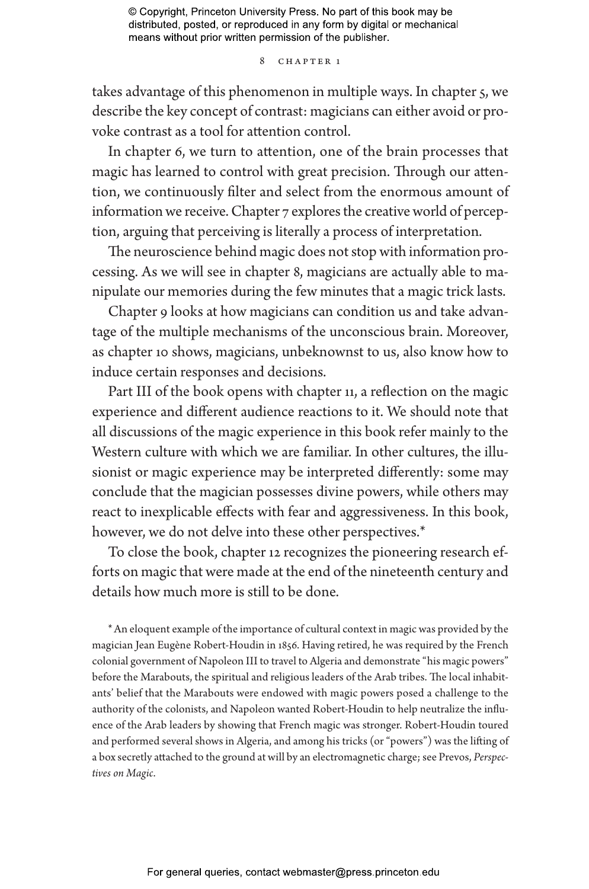#### 8 CHAPTER 1

takes advantage of this phenomenon in multiple ways. In chapter 5, we describe the key concept of contrast: magicians can either avoid or provoke contrast as a tool for attention control.

In chapter 6, we turn to attention, one of the brain processes that magic has learned to control with great precision. Through our attention, we continuously filter and select from the enormous amount of information we receive. Chapter 7 explores the creative world of perception, arguing that perceiving is literally a process of interpretation.

The neuroscience behind magic does not stop with information processing. As we will see in chapter 8, magicians are actually able to manipulate our memories during the few minutes that a magic trick lasts.

Chapter 9 looks at how magicians can condition us and take advantage of the multiple mechanisms of the unconscious brain. Moreover, as chapter 10 shows, magicians, unbeknownst to us, also know how to induce certain responses and decisions.

Part III of the book opens with chapter 11, a reflection on the magic experience and different audience reactions to it. We should note that all discussions of the magic experience in this book refer mainly to the Western culture with which we are familiar. In other cultures, the illusionist or magic experience may be interpreted differently: some may conclude that the magician possesses divine powers, while others may react to inexplicable effects with fear and aggressiveness. In this book, however, we do not delve into these other perspectives.\*

To close the book, chapter 12 recognizes the pioneering research efforts on magic that were made at the end of the nineteenth century and details how much more is still to be done.

\*An eloquent example of the importance of cultural context in magic was provided by the magician Jean Eugène Robert-Houdin in 1856. Having retired, he was required by the French colonial government of Napoleon III to travel to Algeria and demonstrate "his magic powers" before the Marabouts, the spiritual and religious leaders of the Arab tribes. The local inhabitants' belief that the Marabouts were endowed with magic powers posed a challenge to the authority of the colonists, and Napoleon wanted Robert-Houdin to help neutralize the influence of the Arab leaders by showing that French magic was stronger. Robert-Houdin toured and performed several shows in Algeria, and among his tricks (or "powers") was the lifting of a box secretly attached to the ground at will by an electromagnetic charge; see Prevos, *Perspectives on Magic*.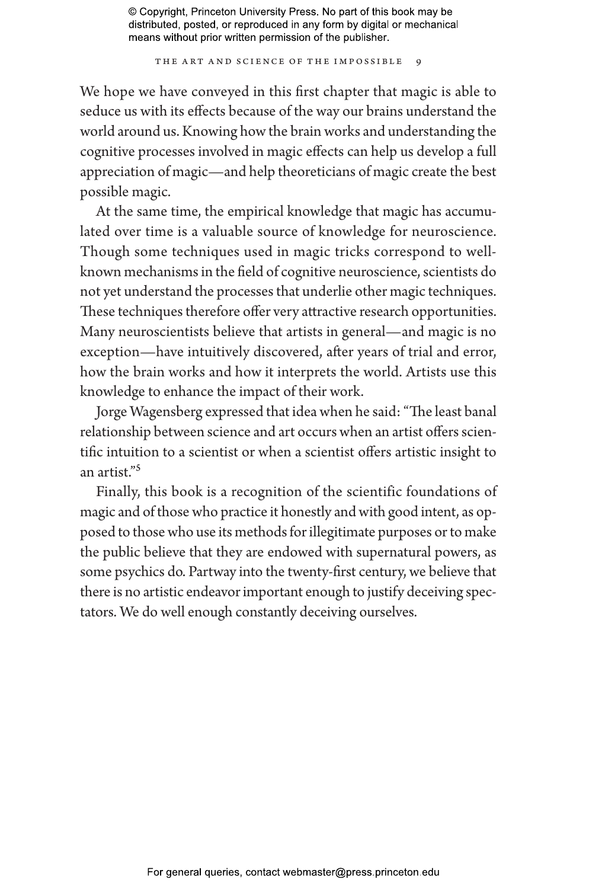THE ART AND SCIENCE OF THE IMPOSSIBLE 9

We hope we have conveyed in this first chapter that magic is able to seduce us with its effects because of the way our brains understand the world around us. Knowing how the brain works and understanding the cognitive processes involved in magic effects can help us develop a full appreciation of magic—and help theoreticians of magic create the best possible magic.

At the same time, the empirical knowledge that magic has accumulated over time is a valuable source of knowledge for neuroscience. Though some techniques used in magic tricks correspond to wellknown mechanisms in the field of cognitive neuroscience, scientists do not yet understand the processes that underlie other magic techniques. These techniques therefore offer very attractive research opportunities. Many neuroscientists believe that artists in general—and magic is no exception—have intuitively discovered, after years of trial and error, how the brain works and how it interprets the world. Artists use this knowledge to enhance the impact of their work.

Jorge Wagensberg expressed that idea when he said: "The least banal relationship between science and art occurs when an artist offers scientific intuition to a scientist or when a scientist offers artistic insight to an artist."5

Finally, this book is a recognition of the scientific foundations of magic and of those who practice it honestly and with good intent, as opposed to those who use its methods for illegitimate purposes or to make the public believe that they are endowed with supernatural powers, as some psychics do. Partway into the twenty-first century, we believe that there is no artistic endeavor important enough to justify deceiving spectators. We do well enough constantly deceiving ourselves.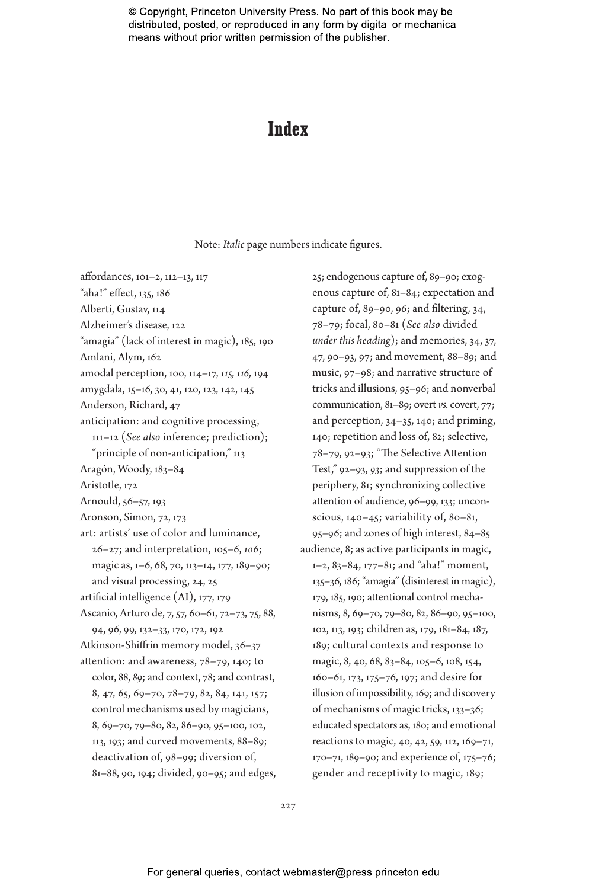## **Index**

Note: *Italic* page numbers indicate figures.

affordances, 101–2, 112–13, 117 "aha!" effect, 135, 186 Alberti, Gustav, 114 Alzheimer's disease, 122 "amagia" (lack of interest in magic), 185, 190 Amlani, Alym, 162 amodal perception, 100, 114–17, *115, 116,* 194 amygdala, 15–16, 30, 41, 120, 123, 142, 145 Anderson, Richard, 47 anticipation: and cognitive processing, 111–12 (*See also* inference; prediction); "principle of non-anticipation," 113 Aragón, Woody, 183–84 Aristotle, 172 Arnould, 56–57, 193 Aronson, Simon, 72, 173 art: artists' use of color and luminance, 26–27; and interpretation, 105–6, *106*; magic as, 1–6, 68, 70, 113–14, 177, 189–90; and visual processing, 24, 25 artificial intelligence (AI), 177, 179 Ascanio, Arturo de, 7, 57, 60–61, 72–73, 75, 88, 94, 96, 99, 132–33, 170, 172, 192 Atkinson-Shiffrin memory model, 36–37 attention: and awareness, 78–79, 140; to color, 88, *89*; and context, 78; and contrast, 8, 47, 65, 69–70, 78–79, 82, 84, 141, 157; control mechanisms used by magicians, 8, 69–70, 79–80, 82, 86–90, 95–100, 102, 113, 193; and curved movements, 88–89; deactivation of, 98–99; diversion of, 81–88, 90, 194; divided, 90–95; and edges,

25; endogenous capture of, 89–90; exogenous capture of, 81–84; expectation and capture of, 89–90, 96; and filtering, 34, 78–79; focal, 80–81 (*See also* divided *under this heading*); and memories, 34, 37, 47, 90–93, 97; and movement, 88–89; and music, 97–98; and narrative structure of tricks and illusions, 95–96; and nonverbal communication, 81–89; overt *vs.* covert, 77; and perception, 34–35, 140; and priming, 140; repetition and loss of, 82; selective, 78–79, 92–93; "The Selective Attention Test," 92–93, *93*; and suppression of the periphery, 81; synchronizing collective attention of audience, 96–99, 133; unconscious, 140–45; variability of, 80–81, 95–96; and zones of high interest, 84–85 audience, 8; as active participants in magic, 1–2, 83–84, 177–81; and "aha!" moment, 135–36, 186; "amagia" (disinterest in magic), 179, 185, 190; attentional control mechanisms, 8, 69–70, 79–80, 82, 86–90, 95–100, 102, 113, 193; children as, 179, 181–84, 187, 189; cultural contexts and response to magic, 8, 40, 68, 83–84, 105–6, 108, 154, 160–61, 173, 175–76, 197; and desire for illusion of impossibility, 169; and discovery of mechanisms of magic tricks, 133–36; educated spectators as, 180; and emotional reactions to magic, 40, 42, 59, 112, 169–71, 170–71, 189–90; and experience of, 175–76; gender and receptivity to magic, 189;

227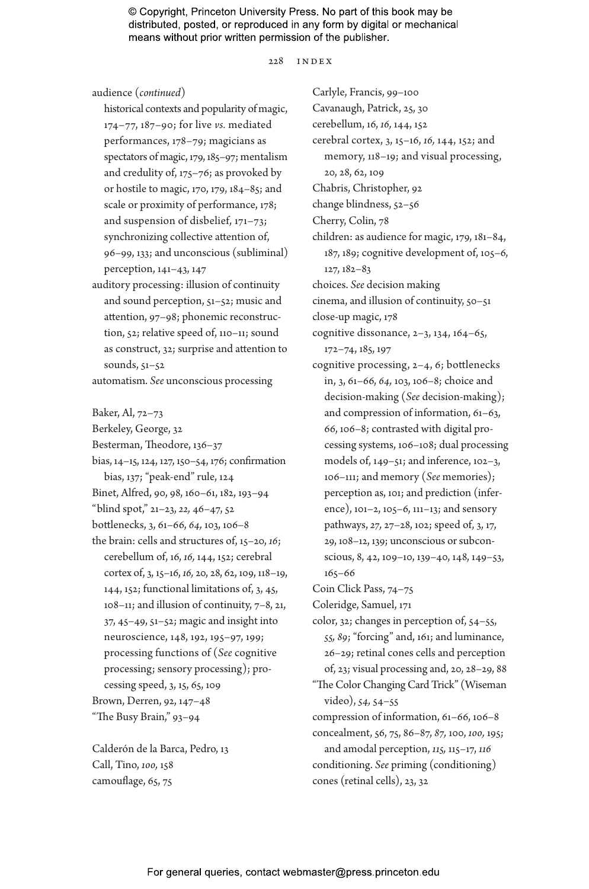228 index

audience (*continued*)

historical contexts and popularity of magic, 174–77, 187–90; for live *vs.* mediated performances, 178–79; magicians as spectators of magic, 179, 185–97; mentalism and credulity of, 175–76; as provoked by or hostile to magic, 170, 179, 184–85; and scale or proximity of performance, 178; and suspension of disbelief, 171–73; synchronizing collective attention of, 96–99, 133; and unconscious (subliminal) perception, 141–43, 147

auditory processing: illusion of continuity and sound perception, 51–52; music and attention, 97–98; phonemic reconstruction, 52; relative speed of, 110–11; sound as construct, 32; surprise and attention to sounds, 51–52

automatism. *See* unconscious processing

Baker, Al, 72–73

Berkeley, George, 32

- Besterman, Theodore, 136–37
- bias, 14–15, 124, 127, 150–54, 176; confirmation bias, 137; "peak-end" rule, 124
- Binet, Alfred, 90, 98, 160–61, 182, 193–94

"blind spot," 21–23, *22,* 46–47, 52

- bottlenecks, 3, 61–66, *64,* 103, 106–8
- the brain: cells and structures of, 15–20, *16*; cerebellum of, 16, *16,* 144, 152; cerebral cortex of, 3, 15–16, *16,* 20, 28, 62, 109, 118–19, 144, 152; functional limitations of, 3, 45, 108–11; and illusion of continuity, 7–8, 21, 37, 45–49, 51–52; magic and insight into neuroscience, 148, 192, 195–97, 199; processing functions of (*See* cognitive processing; sensory processing); processing speed, 3, 15, 65, 109 Brown, Derren, 92, 147–48 "The Busy Brain," 93–94

Calderón de la Barca, Pedro, 13 Call, Tino, *100,* 158 camouflage, 65, 75

Carlyle, Francis, 99–100 Cavanaugh, Patrick, 25, 30 cerebellum, 16, *16,* 144, 152 cerebral cortex, 3, 15–16, *16,* 144, 152; and memory, 118–19; and visual processing, 20, 28, 62, 109 Chabris, Christopher, 92 change blindness, 52–56 Cherry, Colin, 78 children: as audience for magic, 179, 181–84, 187, 189; cognitive development of, 105–6, 127, 182–83 choices. *See* decision making cinema, and illusion of continuity, 50–51 close-up magic, 178 cognitive dissonance, 2–3, 134, 164–65, 172–74, 185, 197 cognitive processing, 2–4, 6; bottlenecks in, 3, 61–66, *64,* 103, 106–8; choice and decision-making (*See* decision-making); and compression of information, 61–63, 66, 106–8; contrasted with digital processing systems, 106–108; dual processing models of, 149–51; and inference, 102–3, 106–111; and memory (*See* memories); perception as, 101; and prediction (inference), 101–2, 105–6, 111–13; and sensory pathways, *27,* 27–28, 102; speed of, 3, 17, 29, 108–12, 139; unconscious or subconscious, 8, 42, 109–10, 139–40, 148, 149–53, 165–66 Coin Click Pass, 74–75 Coleridge, Samuel, 171 color, 32; changes in perception of, 54–55, *55, 89*; "forcing" and, 161; and luminance, 26–29; retinal cones cells and perception of, 23; visual processing and, 20, 28–29, 88

"The Color Changing Card Trick" (Wiseman video), *54,* 54–55 compression of information, 61–66, 106–8

concealment, 56, 75, 86–87, *87,* 100, *100,* 195; and amodal perception, *115,* 115–17, *116* conditioning. *See* priming (conditioning) cones (retinal cells), 23, 32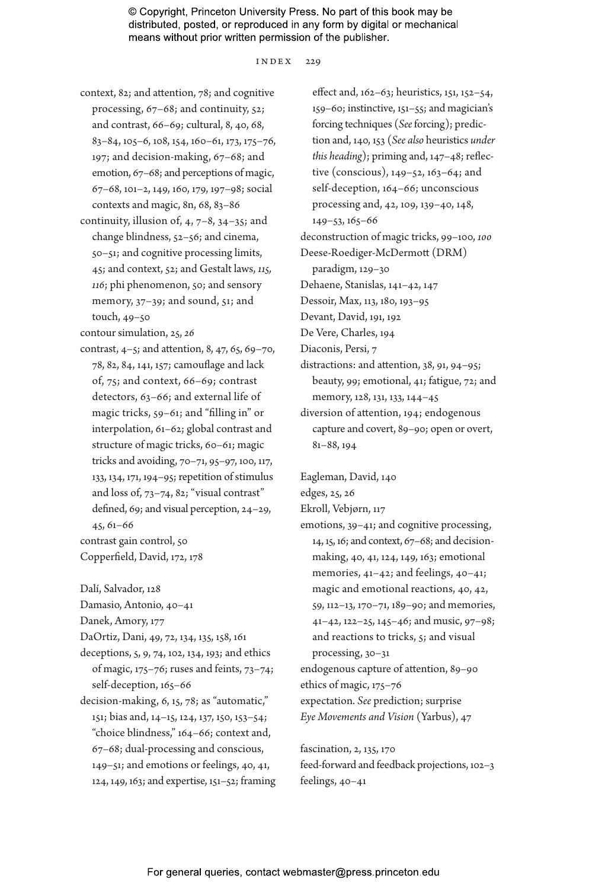index 229

- context, 82; and attention, 78; and cognitive processing, 67–68; and continuity, 52; and contrast, 66–69; cultural, 8, 40, 68, 83–84, 105–6, 108, 154, 160–61, 173, 175–76, 197; and decision-making, 67–68; and emotion, 67–68; and perceptions of magic, 67–68, 101–2, 149, 160, 179, 197–98; social contexts and magic, 8n, 68, 83–86
- continuity, illusion of,  $4, 7-8, 34-35$ ; and change blindness, 52–56; and cinema, 50–51; and cognitive processing limits, 45; and context, 52; and Gestalt laws, *115, 116*; phi phenomenon, 50; and sensory memory,  $37-39$ ; and sound,  $51$ ; and touch, 49–50

contour simulation, 25, *26*

contrast, 4–5; and attention, 8, 47, 65, 69–70, 78, 82, 84, 141, 157; camouflage and lack of, 75; and context, 66–69; contrast detectors, 63–66; and external life of magic tricks, 59–61; and "filling in" or interpolation, 61–62; global contrast and structure of magic tricks, 60–61; magic tricks and avoiding, 70–71, 95–97, 100, 117, 133, 134, 171, 194–95; repetition of stimulus and loss of, 73–74, 82; "visual contrast" defined, 69; and visual perception, 24–29, 45, 61–66

contrast gain control, 50 Copperfield, David, 172, 178

- Dalí, Salvador, 128
- Damasio, Antonio, 40–41
- Danek, Amory, 177
- DaOrtiz, Dani, 49, 72, 134, 135, 158, 161
- deceptions, 5, 9, 74, 102, 134, 193; and ethics of magic, 175–76; ruses and feints, 73–74; self-deception, 165–66
- decision-making, 6, 15, 78; as "automatic," 151; bias and, 14–15, 124, 137, 150, 153–54; "choice blindness," 164–66; context and, 67–68; dual-processing and conscious, 149–51; and emotions or feelings, 40, 41, 124, 149, 163; and expertise, 151–52; framing

effect and, 162–63; heuristics, 151, 152–54, 159–60; instinctive, 151–55; and magician's forcing techniques (*See* forcing); prediction and, 140, 153 (*See also* heuristics *under this heading*); priming and, 147–48; reflective (conscious), 149–52, 163–64; and self-deception, 164–66; unconscious processing and, 42, 109, 139–40, 148, 149–53, 165–66 deconstruction of magic tricks, 99–100, *100* Deese-Roediger-McDermott (DRM) paradigm, 129–30 Dehaene, Stanislas, 141–42, 147 Dessoir, Max, 113, 180, 193–95 Devant, David, 191, 192 De Vere, Charles, 194 Diaconis, Persi, 7 distractions: and attention, 38, 91, 94–95; beauty, 99; emotional, 41; fatigue, 72; and memory, 128, 131, 133, 144–45 diversion of attention, 194; endogenous

capture and covert, 89–90; open or overt, 81–88, 194

Eagleman, David, 140

edges, 25, 26

Ekroll, Vebjørn, 117

- emotions, 39–41; and cognitive processing, 14, 15, 16; and context, 67–68; and decisionmaking, 40, 41, 124, 149, 163; emotional memories, 41–42; and feelings, 40–41; magic and emotional reactions, 40, 42, 59, 112–13, 170–71, 189–90; and memories, 41–42, 122–25, 145–46; and music, 97–98; and reactions to tricks, 5; and visual processing, 30–31 endogenous capture of attention, 89–90 ethics of magic, 175–76 expectation. *See* prediction; surprise
- *Eye Movements and Vision* (Yarbus), 47

fascination, 2, 135, 170 feed-forward and feedback projections, 102–3 feelings, 40–41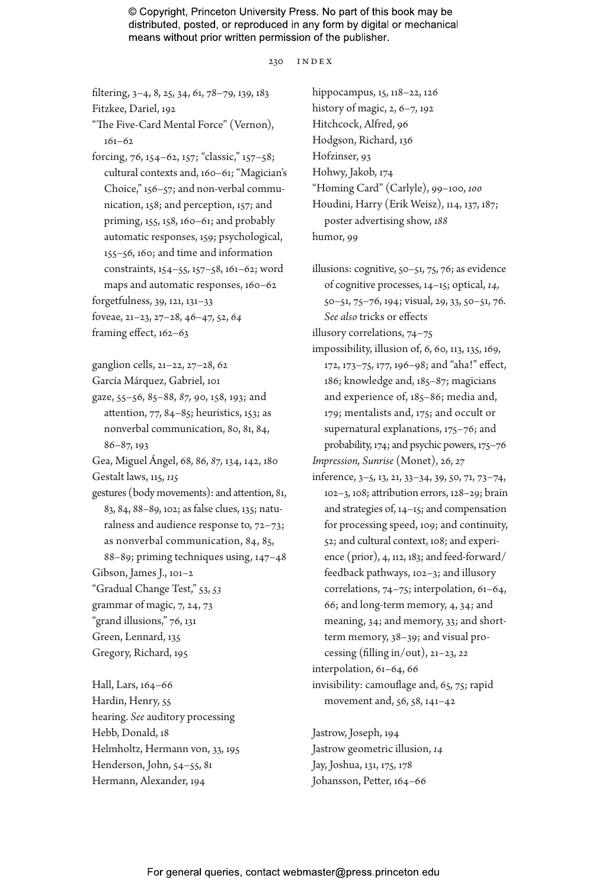230 index

filtering, 3–4, 8, 25, 34, 61, 78–79, 139, 183 Fitzkee, Dariel, 192

"The Five-Card Mental Force" (Vernon),  $161 - 62$ 

forcing, 76, 154–62, 157; "classic," 157–58; cultural contexts and, 160–61; "Magician's Choice," 156–57; and non-verbal communication, 158; and perception, 157; and priming, 155, 158, 160–61; and probably automatic responses, 159; psychological, 155–56, 160; and time and information constraints, 154–55, 157–58, 161–62; word maps and automatic responses, 160–62

forgetfulness, 39, 121, 131–33

- foveae, 21–23, 27–28, 46–47, 52, *64*
- framing effect, 162–63
- ganglion cells, 21–22, 27–28, 62
- García Márquez, Gabriel, 101
- gaze, 55–56, 85–88, *87,* 90, 158, 193; and attention, 77, 84–85; heuristics, 153; as nonverbal communication, 80, 81, 84, 86–87, 193
- Gea, Miguel Ángel, 68, 86, *87,* 134, 142, 180 Gestalt laws, 115, *115*
- gestures (body movements): and attention, 81, 83, 84, 88–89, 102; as false clues, 135; naturalness and audience response to, 72–73; as nonverbal communication, 84, 85, 88–89; priming techniques using, 147–48 Gibson, James J., 101–2 "Gradual Change Test," 53, *53* grammar of magic, 7, 24, 73
- "grand illusions," 76, 131 Green, Lennard, 135 Gregory, Richard, 195

Hall, Lars, 164–66 Hardin, Henry, 55 hearing. *See* auditory processing Hebb, Donald, 18 Helmholtz, Hermann von, 33, 195 Henderson, John, 54–55, 81 Hermann, Alexander, 194

hippocampus, 15, 118–22, 126 history of magic, 2, 6–7, 192 Hitchcock, Alfred, 96 Hodgson, Richard, 136 Hofzinser, 93 Hohwy, Jakob, 174 "Homing Card" (Carlyle), 99–100, *100* Houdini, Harry (Erik Weisz), 114, 137, 187; poster advertising show, *188* humor, 99

illusions: cognitive, 50–51, 75, 76; as evidence of cognitive processes, 14–15; optical, *14,* 50–51, 75–76, 194; visual, 29, 33, 50–51, 76. *See also* tricks or effects illusory correlations, 74–75 impossibility, illusion of, 6, 60, 113, 135, 169, 172, 173–75, 177, 196–98; and "aha!" effect, 186; knowledge and, 185–87; magicians and experience of, 185–86; media and, 179; mentalists and, 175; and occult or supernatural explanations, 175–76; and probability, 174; and psychic powers, 175–76 *Impression, Sunrise* (Monet), 26, *27* inference, 3–5, 13, 21, 33–34, 39, 50, 71, 73–74, 102–3, 108; attribution errors, 128–29; brain

and strategies of, 14–15; and compensation for processing speed, 109; and continuity, 52; and cultural context, 108; and experience (prior), 4, 112, 183; and feed-forward/ feedback pathways, 102–3; and illusory correlations, 74–75; interpolation, 61–64, 66; and long-term memory, 4, 34; and meaning, 34; and memory, 33; and shortterm memory, 38–39; and visual processing (filling in/out), 21–23, *22* interpolation, 61–64, 66

invisibility: camouflage and, 65, 75; rapid

movement and, 56, 58, 141–42

Jastrow, Joseph, 194 Jastrow geometric illusion, *14* Jay, Joshua, 131, 175, 178 Johansson, Petter, 164–66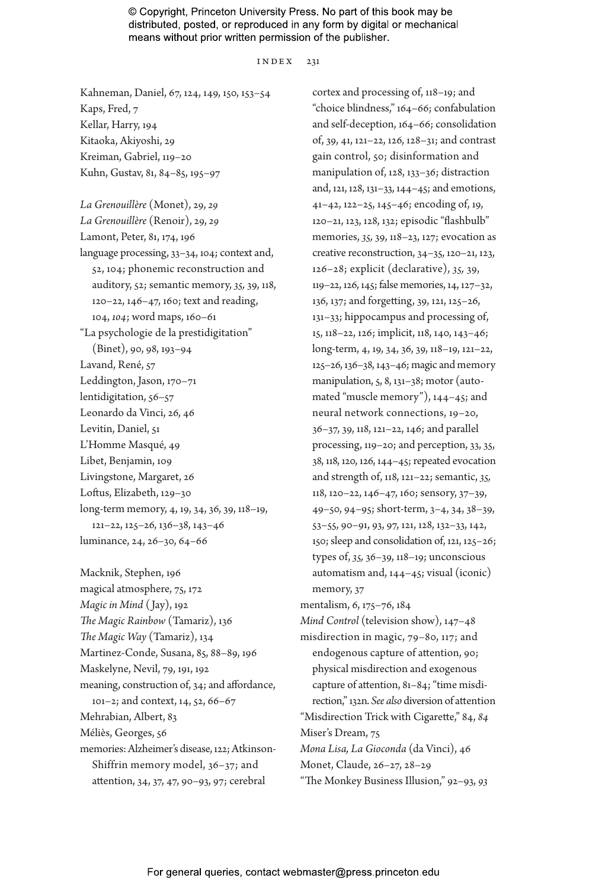#### index 231

Kahneman, Daniel, 67, 124, 149, 150, 153–54 Kaps, Fred, 7 Kellar, Harry, 194 Kitaoka, Akiyoshi, 29 Kreiman, Gabriel, 119–20 Kuhn, Gustav, 81, 84–85, 195–97

*La Grenouillère* (Monet), 29, *29 La Grenouillère* (Renoir), 29, *29* Lamont, Peter, 81, 174, 196 language processing, 33–34, 104; context and, 52, 104; phonemic reconstruction and auditory, 52; semantic memory, *35,* 39, 118, 120–22, 146–47, 160; text and reading, 104, *104*; word maps, 160–61 "La psychologie de la prestidigitation" (Binet), 90, 98, 193–94 Lavand, René, 57 Leddington, Jason, 170–71 lentidigitation, 56–57 Leonardo da Vinci, 26, 46 Levitin, Daniel, 51 L'Homme Masqué, 49 Libet, Benjamin, 109 Livingstone, Margaret, 26 Loftus, Elizabeth, 129–30 long-term memory, 4, 19, 34, 36, 39, 118–19, 121–22, 125–26, 136–38, 143–46 luminance, 24, 26–30, 64–66

Macknik, Stephen, 196 magical atmosphere, 75, 172 *Magic in Mind* ( Jay), 192 *The Magic Rainbow* (Tamariz), 136 *The Magic Way* (Tamariz), 134 Martinez-Conde, Susana, 85, 88–89, 196 Maskelyne, Nevil, 79, 191, 192 meaning, construction of, 34; and affordance, 101–2; and context, 14, 52, 66–67 Mehrabian, Albert, 83 Méliès, Georges, 56 memories: Alzheimer's disease, 122; Atkinson-Shiffrin memory model, 36–37; and attention, 34, 37, 47, 90–93, 97; cerebral

cortex and processing of, 118–19; and "choice blindness," 164–66; confabulation and self-deception, 164–66; consolidation of, 39, 41, 121–22, 126, 128–31; and contrast gain control, 50; disinformation and manipulation of, 128, 133–36; distraction and, 121, 128, 131–33, 144–45; and emotions, 41–42, 122–25, 145–46; encoding of, 19, 120–21, 123, 128, 132; episodic "flashbulb" memories, *35,* 39, 118–23, 127; evocation as creative reconstruction, 34–35, 120–21, 123, 126–28; explicit (declarative), *35,* 39, 119–22, 126, 145; false memories, 14, 127–32, 136, 137; and forgetting, 39, 121, 125–26, 131–33; hippocampus and processing of, 15, 118–22, 126; implicit, 118, 140, 143–46; long-term, 4, 19, 34, 36, 39, 118–19, 121–22, 125–26, 136–38, 143–46; magic and memory manipulation,  $5, 8, 131-38$ ; motor (automated "muscle memory"), 144–45; and neural network connections, 19–20, 36–37, 39, 118, 121–22, 146; and parallel processing, 119–20; and perception, 33, 35, 38, 118, 120, 126, 144–45; repeated evocation and strength of, 118, 121–22; semantic, *35,* 118, 120–22, 146–47, 160; sensory, 37–39, 49–50, 94–95; short-term, 3–4, 34, 38–39, 53–55, 90–91, 93, 97, 121, 128, 132–33, 142, 150; sleep and consolidation of, 121, 125–26; types of, *35,* 36–39, 118–19; unconscious automatism and, 144–45; visual (iconic) memory, 37 mentalism, 6, 175–76, 184 *Mind Control* (television show), 147–48 misdirection in magic, 79–80, 117; and endogenous capture of attention, 90; physical misdirection and exogenous capture of attention, 81–84; "time misdirection," 132n. *See also* diversion of attention "Misdirection Trick with Cigarette," 84, *84* Miser's Dream, 75 *Mona Lisa, La Gioconda* (da Vinci), 46

- Monet, Claude, 26–27, 28–29
- "The Monkey Business Illusion," 92–93, *93*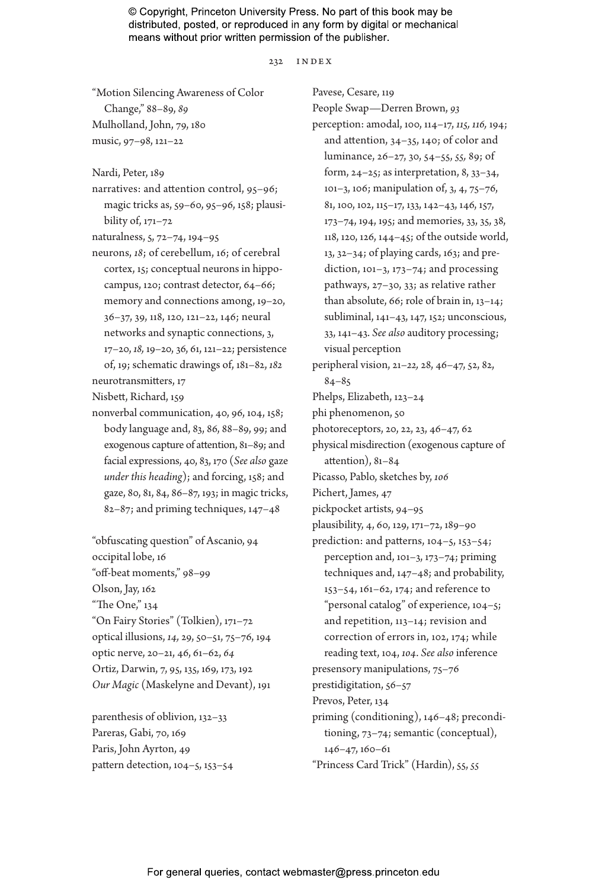#### 232 INDEX

"Motion Silencing Awareness of Color Change," 88–89, *89* Mulholland, John, 79, 180 music, 97–98, 121–22

Nardi, Peter, 189

- narratives: and attention control, 95–96; magic tricks as, 59–60, 95–96, 158; plausibility of, 171–72
- naturalness, 5, 72–74, 194–95
- neurons, *18*; of cerebellum, 16; of cerebral cortex, 15; conceptual neurons in hippocampus, 120; contrast detector, 64–66; memory and connections among, 19–20, 36–37, 39, 118, 120, 121–22, 146; neural networks and synaptic connections, 3, 17–20, *18,* 19–20, 36, 61, 121–22; persistence of, 19; schematic drawings of, 181–82, *182* neurotransmitters, 17

Nisbett, Richard, 159

nonverbal communication, 40, 96, 104, 158; body language and, 83, 86, 88–89, 99; and exogenous capture of attention, 81–89; and facial expressions, 40, 83, 170 (*See also* gaze *under this heading*); and forcing, 158; and gaze, 80, 81, 84, 86–87, 193; in magic tricks, 82–87; and priming techniques, 147–48

"obfuscating question" of Ascanio, 94 occipital lobe, 16 "off-beat moments," 98–99 Olson, Jay, 162 "The One," 134 "On Fairy Stories" (Tolkien), 171–72 optical illusions, *14,* 29, 50–51, 75–76, 194 optic nerve, 20–21, 46, 61–62, *64* Ortiz, Darwin, 7, 95, 135, 169, 173, 192 *Our Magic* (Maskelyne and Devant), 191

parenthesis of oblivion, 132–33 Pareras, Gabi, 70, 169 Paris, John Ayrton, 49 pattern detection, 104–5, 153–54

Pavese, Cesare, 119 People Swap—Derren Brown, *93* perception: amodal, 100, 114–17, *115, 116,* 194; and attention, 34–35, 140; of color and luminance, 26–27, 30, 54–55, *55,* 89; of form, 24–25; as interpretation, 8, 33–34, 101–3, 106; manipulation of, 3, 4, 75–76, 81, 100, 102, 115–17, 133, 142–43, 146, 157, 173–74, 194, 195; and memories, 33, 35, 38, 118, 120, 126, 144–45; of the outside world, 13, 32–34; of playing cards, 163; and prediction, 101–3, 173–74; and processing pathways, 27–30, 33; as relative rather than absolute, 66; role of brain in, 13–14; subliminal, 141–43, 147, 152; unconscious, 33, 141–43. *See also* auditory processing; visual perception peripheral vision, 21–*22,* 28, 46–47, 52, 82, 84–85 Phelps, Elizabeth, 123–24 phi phenomenon, 50 photoreceptors, 20, 22, 23, 46–47, 62 physical misdirection (exogenous capture of attention), 81–84 Picasso, Pablo, sketches by, *106* Pichert, James, 47 pickpocket artists, 94–95 plausibility, 4, 60, 129, 171–72, 189–90 prediction: and patterns, 104–5, 153–54; perception and, 101–3, 173–74; priming techniques and, 147–48; and probability, 153–54, 161–62, 174; and reference to "personal catalog" of experience, 104–5; and repetition, 113–14; revision and correction of errors in, 102, 174; while reading text, 104, *104*. *See also* inference presensory manipulations, 75–76 prestidigitation, 56–57 Prevos, Peter, 134 priming (conditioning), 146–48; preconditioning, 73–74; semantic (conceptual), 146–47, 160–61 "Princess Card Trick" (Hardin), 55, *55*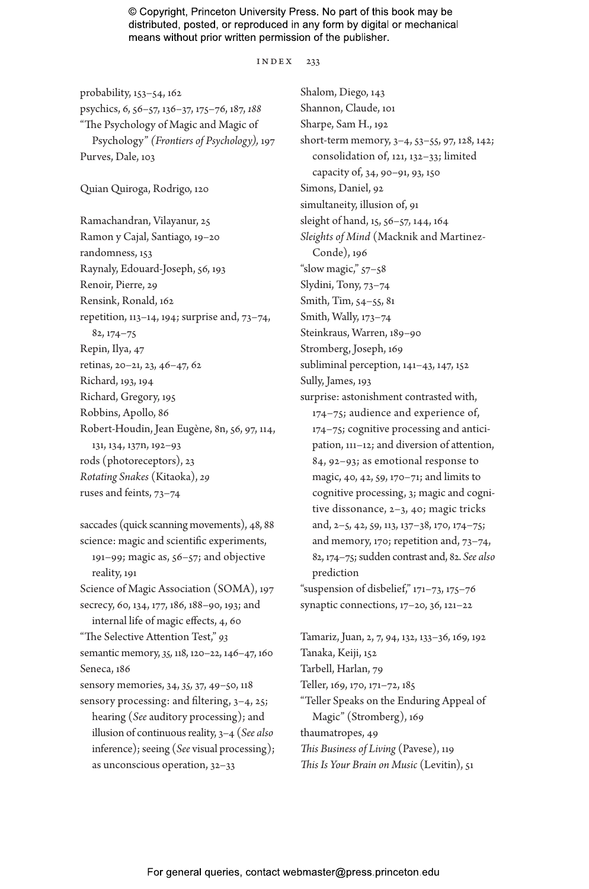#### $INDEX$  233

probability, 153–54, 162 psychics, 6, 56–57, 136–37, 175–76, 187, *188* "The Psychology of Magic and Magic of Psychology" *(Frontiers of Psychology),* 197 Purves, Dale, 103

Quian Quiroga, Rodrigo, 120

Ramachandran, Vilayanur, 25 Ramon y Cajal, Santiago, 19–20 randomness, 153 Raynaly, Edouard-Joseph, 56, 193 Renoir, Pierre, 29 Rensink, Ronald, 162 repetition, 113–14, 194; surprise and, 73–74, 82, 174–75 Repin, Ilya, 47 retinas, 20–21, 23, 46–47, 62 Richard, 193, 194 Richard, Gregory, 195 Robbins, Apollo, 86 Robert-Houdin, Jean Eugène, 8n, 56, 97, 114, 131, 134, 137n, 192–93 rods (photoreceptors), 23 *Rotating Snakes* (Kitaoka), *29* ruses and feints, 73–74

saccades (quick scanning movements), 48, 88 science: magic and scientific experiments, 191–99; magic as, 56–57; and objective reality, 191 Science of Magic Association (SOMA), 197 secrecy, 60, 134, 177, 186, 188–90, 193; and internal life of magic effects, 4, 60 "The Selective Attention Test," *93* semantic memory, *35,* 118, 120–22, 146–47, 160 Seneca, 186 sensory memories, 34, *35,* 37, 49–50, 118 sensory processing: and filtering, 3–4, 25; hearing (*See* auditory processing); and illusion of continuous reality, 3–4 (*See also* inference); seeing (*See* visual processing); as unconscious operation, 32–33

Shalom, Diego, 143 Shannon, Claude, 101 Sharpe, Sam H., 192 short-term memory, 3–4, 53–55, 97, 128, 142; consolidation of, 121, 132–33; limited capacity of, 34, 90–91, 93, 150 Simons, Daniel, 92 simultaneity, illusion of, 91 sleight of hand, 15, 56–57, 144, 164 *Sleights of Mind* (Macknik and Martinez-Conde), 196 "slow magic," 57–58 Slydini, Tony, 73–74 Smith, Tim, 54–55, 81 Smith, Wally, 173–74 Steinkraus, Warren, 189–90 Stromberg, Joseph, 169 subliminal perception, 141–43, 147, 152 Sully, James, 193 surprise: astonishment contrasted with, 174–75; audience and experience of, 174–75; cognitive processing and anticipation, 111–12; and diversion of attention, 84, 92–93; as emotional response to magic, 40, 42, 59, 170–71; and limits to cognitive processing, 3; magic and cognitive dissonance, 2–3, 40; magic tricks and, 2–5, 42, 59, 113, 137–38, 170, 174–75; and memory, 170; repetition and, 73–74, 82, 174–75; sudden contrast and, 82. *See also* prediction "suspension of disbelief," 171–73, 175–76 synaptic connections, 17–20, 36, 121–22 Tamariz, Juan, 2, 7, 94, 132, 133–36, 169, 192 Tanaka, Keiji, 152

Tarbell, Harlan, 79

Teller, 169, 170, 171–72, 185

"Teller Speaks on the Enduring Appeal of Magic" (Stromberg), 169 thaumatropes, 49 *This Business of Living* (Pavese), 119

*This Is Your Brain on Music* (Levitin), 51